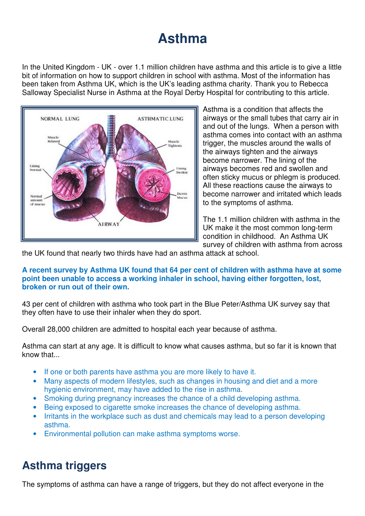# **Asthma**

In the United Kingdom - UK - over 1.1 million children have asthma and this article is to give a little bit of information on how to support children in school with asthma. Most of the information has been taken from Asthma UK, which is the UK's leading asthma charity. Thank you to Rebecca Salloway Specialist Nurse in Asthma at the Royal Derby Hospital for contributing to this article.



Asthma is a condition that affects the airways or the small tubes that carry air in and out of the lungs. When a person with asthma comes into contact with an asthma trigger, the muscles around the walls of the airways tighten and the airways become narrower. The lining of the airways becomes red and swollen and often sticky mucus or phlegm is produced. All these reactions cause the airways to become narrower and irritated which leads to the symptoms of asthma.

The 1.1 million children with asthma in the UK make it the most common long-term condition in childhood. An Asthma UK survey of children with asthma from across

the UK found that nearly two thirds have had an asthma attack at school.

#### **A recent survey by Asthma UK found that 64 per cent of children with asthma have at some point been unable to access a working inhaler in school, having either forgotten, lost, broken or run out of their own.**

43 per cent of children with asthma who took part in the Blue Peter/Asthma UK survey say that they often have to use their inhaler when they do sport.

Overall 28,000 children are admitted to hospital each year because of asthma.

Asthma can start at any age. It is difficult to know what causes asthma, but so far it is known that know that...

- If one or both parents have asthma you are more likely to have it.
- Many aspects of modern lifestyles, such as changes in housing and diet and a more hygienic environment, may have added to the rise in asthma.
- Smoking during pregnancy increases the chance of a child developing asthma.
- Being exposed to cigarette smoke increases the chance of developing asthma.
- Irritants in the workplace such as dust and chemicals may lead to a person developing asthma.
- Environmental pollution can make asthma symptoms worse.

## **Asthma triggers**

The symptoms of asthma can have a range of triggers, but they do not affect everyone in the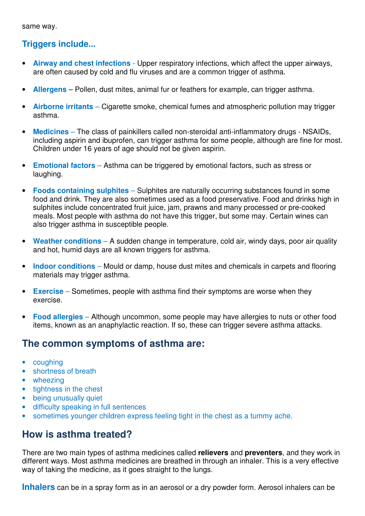same way.

#### **Triggers include...**

- **Airway and chest infections** Upper respiratory infections, which affect the upper airways, are often caused by cold and flu viruses and are a common trigger of asthma.
- **Allergens** Pollen, dust mites, animal fur or feathers for example, can trigger asthma.
- **Airborne irritants** Cigarette smoke, chemical fumes and atmospheric pollution may trigger asthma.
- **Medicines** The class of painkillers called non-steroidal anti-inflammatory drugs NSAIDs, including aspirin and ibuprofen, can trigger asthma for some people, although are fine for most. Children under 16 years of age should not be given aspirin.
- **Emotional factors** Asthma can be triggered by emotional factors, such as stress or laughing.
- **Foods containing sulphites** Sulphites are naturally occurring substances found in some food and drink. They are also sometimes used as a food preservative. Food and drinks high in sulphites include concentrated fruit juice, jam, prawns and many processed or pre-cooked meals. Most people with asthma do not have this trigger, but some may. Certain wines can also trigger asthma in susceptible people.
- **Weather conditions** A sudden change in temperature, cold air, windy days, poor air quality and hot, humid days are all known triggers for asthma.
- **Indoor conditions** Mould or damp, house dust mites and chemicals in carpets and flooring materials may trigger asthma.
- **Exercise** Sometimes, people with asthma find their symptoms are worse when they exercise.
- **Food allergies** Although uncommon, some people may have allergies to nuts or other food items, known as an anaphylactic reaction. If so, these can trigger severe asthma attacks.

### **The common symptoms of asthma are:**

- coughing
- shortness of breath
- wheezing
- tightness in the chest
- being unusually quiet
- difficulty speaking in full sentences
- sometimes younger children express feeling tight in the chest as a tummy ache.

### **How is asthma treated?**

There are two main types of asthma medicines called **relievers** and **preventers**, and they work in different ways. Most asthma medicines are breathed in through an inhaler. This is a very effective way of taking the medicine, as it goes straight to the lungs.

**Inhalers** can be in a spray form as in an aerosol or a dry powder form. Aerosol inhalers can be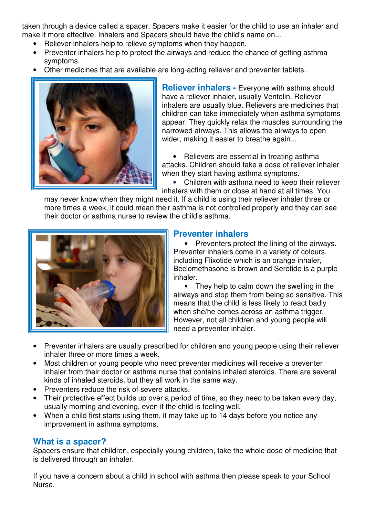taken through a device called a spacer. Spacers make it easier for the child to use an inhaler and make it more effective. Inhalers and Spacers should have the child's name on...

- Reliever inhalers help to relieve symptoms when they happen.
- Preventer inhalers help to protect the airways and reduce the chance of getting asthma symptoms.
- Other medicines that are available are long-acting reliever and preventer tablets.



**Reliever inhalers - Everyone with asthma should** have a reliever inhaler, usually Ventolin. Reliever inhalers are usually blue. Relievers are medicines that children can take immediately when asthma symptoms appear. They quickly relax the muscles surrounding the narrowed airways. This allows the airways to open wider, making it easier to breathe again...

• Relievers are essential in treating asthma attacks. Children should take a dose of reliever inhaler when they start having asthma symptoms.

• Children with asthma need to keep their reliever inhalers with them or close at hand at all times. You

may never know when they might need it. If a child is using their reliever inhaler three or more times a week, it could mean their asthma is not controlled properly and they can see their doctor or asthma nurse to review the child's asthma.



#### **Preventer inhalers**

• Preventers protect the lining of the airways. Preventer inhalers come in a variety of colours, including Flixotide which is an orange inhaler, Beclomethasone is brown and Seretide is a purple inhaler.

• They help to calm down the swelling in the airways and stop them from being so sensitive. This means that the child is less likely to react badly when she/he comes across an asthma trigger. However, not all children and young people will need a preventer inhaler.

- Preventer inhalers are usually prescribed for children and young people using their reliever inhaler three or more times a week.
- Most children or young people who need preventer medicines will receive a preventer inhaler from their doctor or asthma nurse that contains inhaled steroids. There are several kinds of inhaled steroids, but they all work in the same way.
- Preventers reduce the risk of severe attacks.
- Their protective effect builds up over a period of time, so they need to be taken every day, usually morning and evening, even if the child is feeling well.
- When a child first starts using them, it may take up to 14 days before you notice any improvement in asthma symptoms.

#### **What is a spacer?**

Spacers ensure that children, especially young children, take the whole dose of medicine that is delivered through an inhaler.

If you have a concern about a child in school with asthma then please speak to your School Nurse.